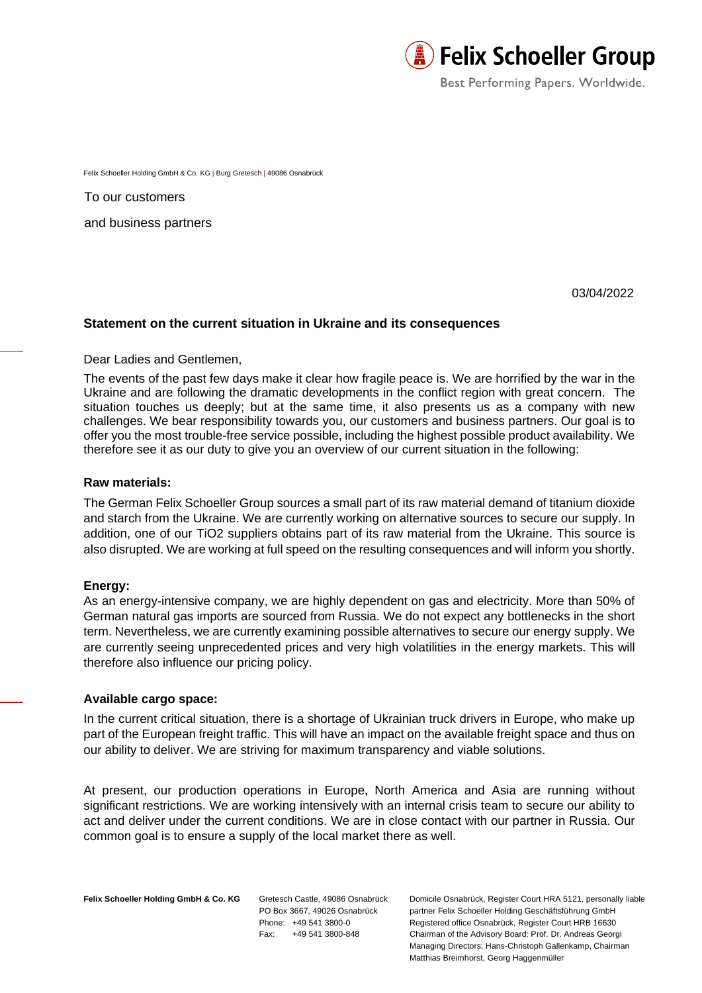

Best Performing Papers. Worldwide.

Felix Schoeller Holding GmbH & Co. KG | Burg Gretesch | 49086 Osnabrück

To our customers and business partners

03/04/2022

## **Statement on the current situation in Ukraine and its consequences**

Dear Ladies and Gentlemen,

The events of the past few days make it clear how fragile peace is. We are horrified by the war in the Ukraine and are following the dramatic developments in the conflict region with great concern. The situation touches us deeply; but at the same time, it also presents us as a company with new challenges. We bear responsibility towards you, our customers and business partners. Our goal is to offer you the most trouble-free service possible, including the highest possible product availability. We therefore see it as our duty to give you an overview of our current situation in the following:

## **Raw materials:**

The German Felix Schoeller Group sources a small part of its raw material demand of titanium dioxide and starch from the Ukraine. We are currently working on alternative sources to secure our supply. In addition, one of our TiO2 suppliers obtains part of its raw material from the Ukraine. This source is also disrupted. We are working at full speed on the resulting consequences and will inform you shortly.

## **Energy:**

As an energy-intensive company, we are highly dependent on gas and electricity. More than 50% of German natural gas imports are sourced from Russia. We do not expect any bottlenecks in the short term. Nevertheless, we are currently examining possible alternatives to secure our energy supply. We are currently seeing unprecedented prices and very high volatilities in the energy markets. This will therefore also influence our pricing policy.

## **Available cargo space:**

In the current critical situation, there is a shortage of Ukrainian truck drivers in Europe, who make up part of the European freight traffic. This will have an impact on the available freight space and thus on our ability to deliver. We are striving for maximum transparency and viable solutions.

At present, our production operations in Europe, North America and Asia are running without significant restrictions. We are working intensively with an internal crisis team to secure our ability to act and deliver under the current conditions. We are in close contact with our partner in Russia. Our common goal is to ensure a supply of the local market there as well.

Felix Schoeller Holding GmbH & Co. KG Gretesch Castle, 49086 Osnabrück

PO Box 3667, 49026 Osnabrück Phone: +49 541 3800-0 Fax: +49 541 3800-848

Domicile Osnabrück, Register Court HRA 5121, personally liable partner Felix Schoeller Holding Geschäftsführung GmbH Registered office Osnabrück, Register Court HRB 16630 Chairman of the Advisory Board: Prof. Dr. Andreas Georgi Managing Directors: Hans-Christoph Gallenkamp, Chairman Matthias Breimhorst, Georg Haggenmüller